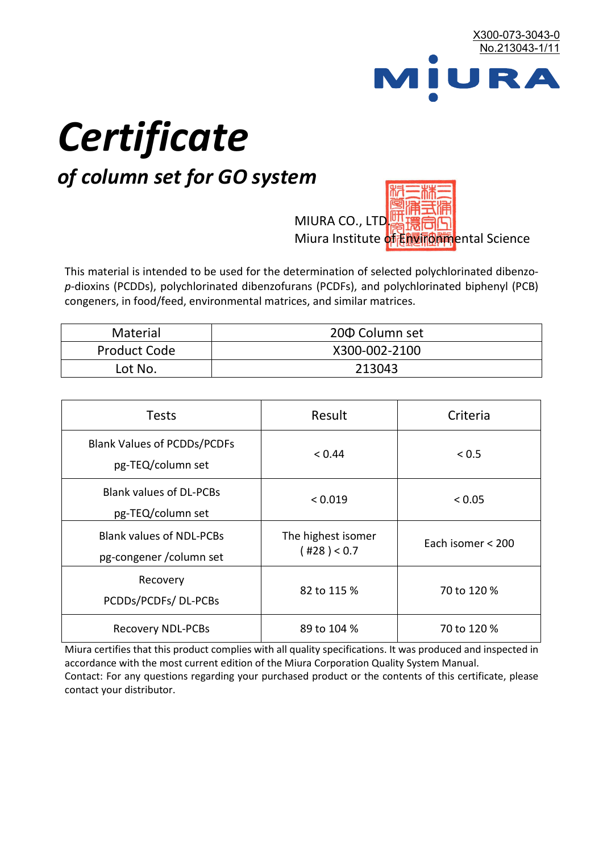

# *Certificate*

# *of column set for GO system*

MIURA CO., LTD. Miura Institute of 正版而解ental Science

This material is intended to be used for the determination of selected polychlorinated dibenzo*p*-dioxins (PCDDs), polychlorinated dibenzofurans (PCDFs), and polychlorinated biphenyl (PCB) congeners, in food/feed, environmental matrices, and similar matrices.

| <b>Material</b>     | 200 Column set |
|---------------------|----------------|
| <b>Product Code</b> | X300-002-2100  |
| Lot No.             | 213043         |

| <b>Tests</b>                                                | Result                            | Criteria          |
|-------------------------------------------------------------|-----------------------------------|-------------------|
| <b>Blank Values of PCDDs/PCDFs</b><br>pg-TEQ/column set     | < 0.44                            | ${}_{0.5}$        |
| <b>Blank values of DL-PCBs</b><br>pg-TEQ/column set         | < 0.019                           | < 0.05            |
| <b>Blank values of NDL-PCBs</b><br>pg-congener / column set | The highest isomer<br>(428) < 0.7 | Each isomer < 200 |
| Recovery<br>PCDDs/PCDFs/DL-PCBs                             | 82 to 115 %                       | 70 to 120 %       |
| <b>Recovery NDL-PCBs</b>                                    | 89 to 104 %                       | 70 to 120 %       |

Miura certifies that this product complies with all quality specifications. It was produced and inspected in accordance with the most current edition of the Miura Corporation Quality System Manual. Contact: For any questions regarding your purchased product or the contents of this certificate, please contact your distributor.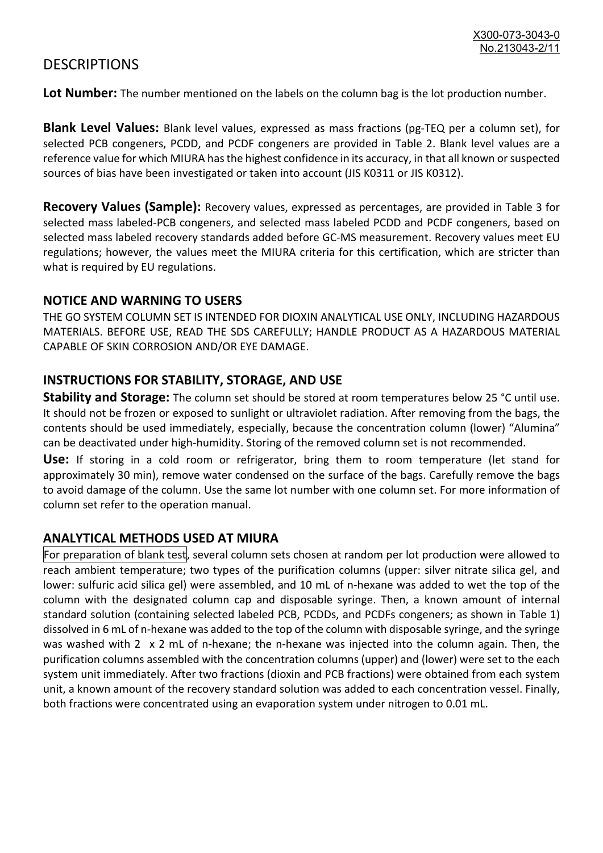## **DESCRIPTIONS**

**Lot Number:** The number mentioned on the labels on the column bag is the lot production number.

**Blank Level Values:** Blank level values, expressed as mass fractions (pg-TEQ per a column set), for selected PCB congeners, PCDD, and PCDF congeners are provided in Table 2. Blank level values are a reference value for which MIURA has the highest confidence in its accuracy, in that all known or suspected sources of bias have been investigated or taken into account (JIS K0311 or JIS K0312).

**Recovery Values (Sample):** Recovery values, expressed as percentages, are provided in Table 3 for selected mass labeled-PCB congeners, and selected mass labeled PCDD and PCDF congeners, based on selected mass labeled recovery standards added before GC-MS measurement. Recovery values meet EU regulations; however, the values meet the MIURA criteria for this certification, which are stricter than what is required by EU regulations.

#### **NOTICE AND WARNING TO USERS**

THE GO SYSTEM COLUMN SET IS INTENDED FOR DIOXIN ANALYTICAL USE ONLY, INCLUDING HAZARDOUS MATERIALS. BEFORE USE, READ THE SDS CAREFULLY; HANDLE PRODUCT AS A HAZARDOUS MATERIAL CAPABLE OF SKIN CORROSION AND/OR EYE DAMAGE.

#### **INSTRUCTIONS FOR STABILITY, STORAGE, AND USE**

**Stability and Storage:** The column set should be stored at room temperatures below 25 °C until use. It should not be frozen or exposed to sunlight or ultraviolet radiation. After removing from the bags, the contents should be used immediately, especially, because the concentration column (lower) "Alumina" can be deactivated under high-humidity. Storing of the removed column set is not recommended.

**Use:** If storing in a cold room or refrigerator, bring them to room temperature (let stand for approximately 30 min), remove water condensed on the surface of the bags. Carefully remove the bags to avoid damage of the column. Use the same lot number with one column set. For more information of column set refer to the operation manual.

### **ANALYTICAL METHODS USED AT MIURA**

For preparation of blank test, several column sets chosen at random per lot production were allowed to reach ambient temperature; two types of the purification columns (upper: silver nitrate silica gel, and lower: sulfuric acid silica gel) were assembled, and 10 mL of n-hexane was added to wet the top of the column with the designated column cap and disposable syringe. Then, a known amount of internal standard solution (containing selected labeled PCB, PCDDs, and PCDFs congeners; as shown in Table 1) dissolved in 6 mL of n-hexane was added to the top of the column with disposable syringe, and the syringe was washed with 2 x 2 mL of n-hexane; the n-hexane was injected into the column again. Then, the purification columns assembled with the concentration columns (upper) and (lower) were set to the each system unit immediately. After two fractions (dioxin and PCB fractions) were obtained from each system unit, a known amount of the recovery standard solution was added to each concentration vessel. Finally, both fractions were concentrated using an evaporation system under nitrogen to 0.01 mL.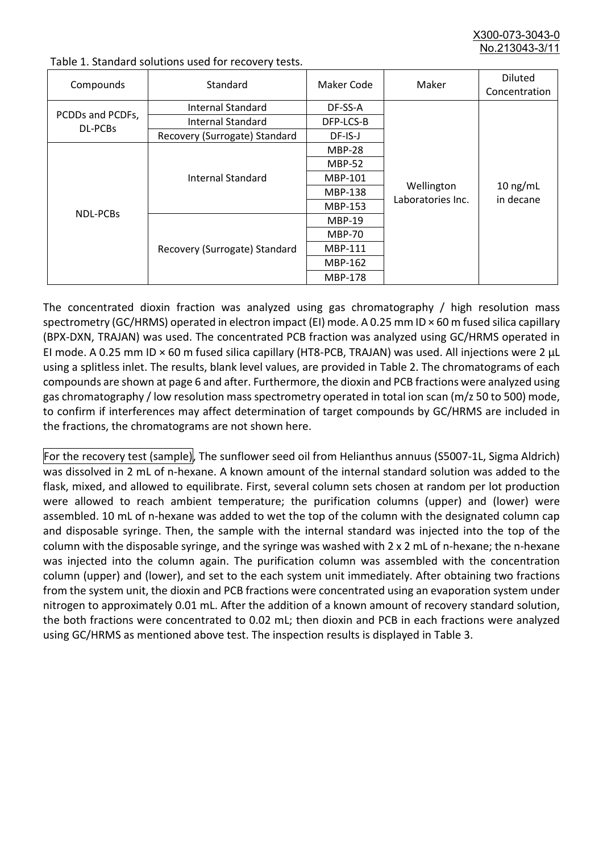X300-073-3043-0 No.213043-3/

| Compounds                   | Standard                      | Maker Code     | Maker                           | <b>Diluted</b><br>Concentration |
|-----------------------------|-------------------------------|----------------|---------------------------------|---------------------------------|
| PCDDs and PCDFs,<br>DL-PCBs | Internal Standard             | DF-SS-A        |                                 | $10$ ng/mL<br>in decane         |
|                             | <b>Internal Standard</b>      | DFP-LCS-B      |                                 |                                 |
|                             | Recovery (Surrogate) Standard | DF-IS-J        | Wellington<br>Laboratories Inc. |                                 |
| <b>NDL-PCBs</b>             | Internal Standard             | <b>MBP-28</b>  |                                 |                                 |
|                             |                               | <b>MBP-52</b>  |                                 |                                 |
|                             |                               | MBP-101        |                                 |                                 |
|                             |                               | <b>MBP-138</b> |                                 |                                 |
|                             |                               | MBP-153        |                                 |                                 |
|                             | Recovery (Surrogate) Standard | <b>MBP-19</b>  |                                 |                                 |
|                             |                               | <b>MBP-70</b>  |                                 |                                 |
|                             |                               | MBP-111        |                                 |                                 |
|                             |                               | MBP-162        |                                 |                                 |
|                             |                               | <b>MBP-178</b> |                                 |                                 |

Table 1. Standard solutions used for recovery tests.

The concentrated dioxin fraction was analyzed using gas chromatography / high resolution mass spectrometry (GC/HRMS) operated in electron impact (EI) mode. A 0.25 mm ID × 60 m fused silica capillary (BPX-DXN, TRAJAN) was used. The concentrated PCB fraction was analyzed using GC/HRMS operated in EI mode. A 0.25 mm ID × 60 m fused silica capillary (HT8-PCB, TRAJAN) was used. All injections were 2 μL using a splitless inlet. The results, blank level values, are provided in Table 2. The chromatograms of each compounds are shown at page 6 and after. Furthermore, the dioxin and PCB fractions were analyzed using gas chromatography / low resolution mass spectrometry operated in total ion scan (m/z 50 to 500) mode, to confirm if interferences may affect determination of target compounds by GC/HRMS are included in the fractions, the chromatograms are not shown here.

For the recovery test (sample), The sunflower seed oil from Helianthus annuus (S5007-1L, Sigma Aldrich) was dissolved in 2 mL of n-hexane. A known amount of the internal standard solution was added to the flask, mixed, and allowed to equilibrate. First, several column sets chosen at random per lot production were allowed to reach ambient temperature; the purification columns (upper) and (lower) were assembled. 10 mL of n-hexane was added to wet the top of the column with the designated column cap and disposable syringe. Then, the sample with the internal standard was injected into the top of the column with the disposable syringe, and the syringe was washed with 2 x 2 mL of n-hexane; the n-hexane was injected into the column again. The purification column was assembled with the concentration column (upper) and (lower), and set to the each system unit immediately. After obtaining two fractions from the system unit, the dioxin and PCB fractions were concentrated using an evaporation system under nitrogen to approximately 0.01 mL. After the addition of a known amount of recovery standard solution, the both fractions were concentrated to 0.02 mL; then dioxin and PCB in each fractions were analyzed using GC/HRMS as mentioned above test. The inspection results is displayed in Table 3.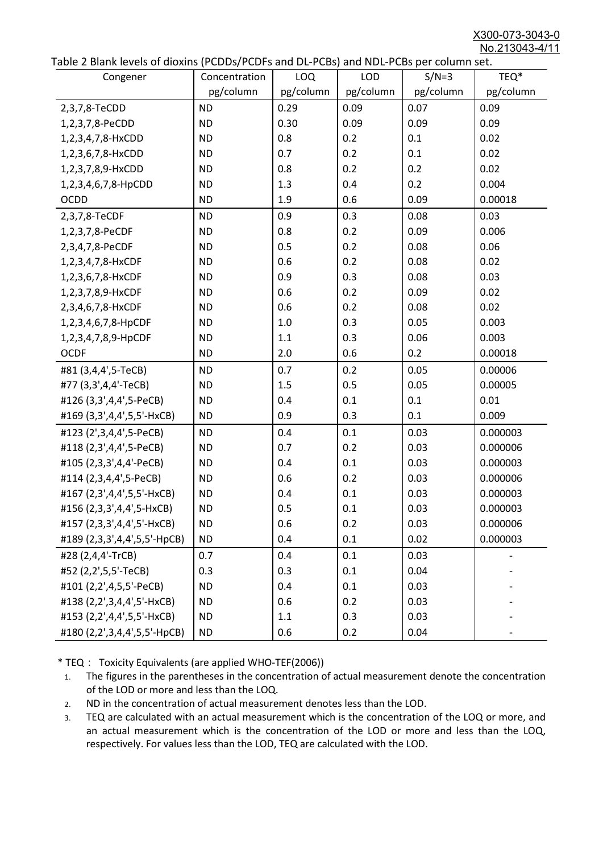X300-073-3043-0 No.213043-4/11

|  | Table 2 Blank levels of dioxins (PCDDs/PCDFs and DL-PCBs) and NDL-PCBs per column set. |
|--|----------------------------------------------------------------------------------------|
|--|----------------------------------------------------------------------------------------|

| abic 2 Diarik icveis of dioxins (I CDD3/TCDTs and DET CD3/ and NDET CD3 pcr column sett. |               |           |            |           |           |
|------------------------------------------------------------------------------------------|---------------|-----------|------------|-----------|-----------|
| Congener                                                                                 | Concentration | LOQ       | <b>LOD</b> | $S/N=3$   | TEQ*      |
|                                                                                          | pg/column     | pg/column | pg/column  | pg/column | pg/column |
| 2,3,7,8-TeCDD                                                                            | <b>ND</b>     | 0.29      | 0.09       | 0.07      | 0.09      |
| 1,2,3,7,8-PeCDD                                                                          | <b>ND</b>     | 0.30      | 0.09       | 0.09      | 0.09      |
| 1,2,3,4,7,8-HxCDD                                                                        | <b>ND</b>     | 0.8       | 0.2        | 0.1       | 0.02      |
| 1,2,3,6,7,8-HxCDD                                                                        | <b>ND</b>     | 0.7       | 0.2        | 0.1       | 0.02      |
| 1,2,3,7,8,9-HxCDD                                                                        | <b>ND</b>     | 0.8       | 0.2        | 0.2       | 0.02      |
| 1,2,3,4,6,7,8-HpCDD                                                                      | <b>ND</b>     | 1.3       | 0.4        | 0.2       | 0.004     |
| <b>OCDD</b>                                                                              | <b>ND</b>     | 1.9       | 0.6        | 0.09      | 0.00018   |
| 2,3,7,8-TeCDF                                                                            | <b>ND</b>     | 0.9       | 0.3        | 0.08      | 0.03      |
| 1,2,3,7,8-PeCDF                                                                          | <b>ND</b>     | 0.8       | 0.2        | 0.09      | 0.006     |
| 2,3,4,7,8-PeCDF                                                                          | <b>ND</b>     | 0.5       | 0.2        | 0.08      | 0.06      |
| 1,2,3,4,7,8-HxCDF                                                                        | <b>ND</b>     | 0.6       | 0.2        | 0.08      | 0.02      |
| 1,2,3,6,7,8-HxCDF                                                                        | <b>ND</b>     | 0.9       | 0.3        | 0.08      | 0.03      |
| 1,2,3,7,8,9-HxCDF                                                                        | <b>ND</b>     | 0.6       | 0.2        | 0.09      | 0.02      |
| 2,3,4,6,7,8-HxCDF                                                                        | <b>ND</b>     | 0.6       | 0.2        | 0.08      | 0.02      |
| 1,2,3,4,6,7,8-HpCDF                                                                      | <b>ND</b>     | 1.0       | 0.3        | 0.05      | 0.003     |
| 1,2,3,4,7,8,9-HpCDF                                                                      | <b>ND</b>     | 1.1       | 0.3        | 0.06      | 0.003     |
| <b>OCDF</b>                                                                              | <b>ND</b>     | 2.0       | 0.6        | 0.2       | 0.00018   |
| #81 (3,4,4',5-TeCB)                                                                      | <b>ND</b>     | 0.7       | 0.2        | 0.05      | 0.00006   |
| #77 (3,3',4,4'-TeCB)                                                                     | <b>ND</b>     | 1.5       | 0.5        | 0.05      | 0.00005   |
| #126 (3,3',4,4',5-PeCB)                                                                  | <b>ND</b>     | 0.4       | 0.1        | 0.1       | 0.01      |
| #169 (3,3',4,4',5,5'-HxCB)                                                               | <b>ND</b>     | 0.9       | 0.3        | 0.1       | 0.009     |
| #123 (2',3,4,4',5-PeCB)                                                                  | <b>ND</b>     | 0.4       | 0.1        | 0.03      | 0.000003  |
| #118 (2,3',4,4',5-PeCB)                                                                  | <b>ND</b>     | 0.7       | 0.2        | 0.03      | 0.000006  |
| #105 (2,3,3',4,4'-PeCB)                                                                  | <b>ND</b>     | 0.4       | 0.1        | 0.03      | 0.000003  |
| #114 (2,3,4,4',5-PeCB)                                                                   | <b>ND</b>     | 0.6       | 0.2        | 0.03      | 0.000006  |
| #167 (2,3',4,4',5,5'-HxCB)                                                               | <b>ND</b>     | 0.4       | 0.1        | 0.03      | 0.000003  |
| #156 (2,3,3',4,4',5-HxCB)                                                                | <b>ND</b>     | 0.5       | 0.1        | 0.03      | 0.000003  |
| #157 (2,3,3',4,4',5'-HxCB)                                                               | <b>ND</b>     | 0.6       | 0.2        | 0.03      | 0.000006  |
| #189 (2,3,3',4,4',5,5'-HpCB)                                                             | <b>ND</b>     | 0.4       | 0.1        | 0.02      | 0.000003  |
| #28 (2,4,4'-TrCB)                                                                        | 0.7           | 0.4       | 0.1        | 0.03      |           |
| #52 (2,2',5,5'-TeCB)                                                                     | 0.3           | 0.3       | 0.1        | 0.04      |           |
| #101 (2,2',4,5,5'-PeCB)                                                                  | <b>ND</b>     | 0.4       | 0.1        | 0.03      |           |
| #138 (2,2',3,4,4',5'-HxCB)                                                               | <b>ND</b>     | 0.6       | 0.2        | 0.03      |           |
| #153 (2,2',4,4',5,5'-HxCB)                                                               | <b>ND</b>     | 1.1       | 0.3        | 0.03      |           |
| #180 (2,2',3,4,4',5,5'-HpCB)                                                             | <b>ND</b>     | 0.6       | 0.2        | 0.04      |           |

\* TEQ: Toxicity Equivalents (are applied WHO-TEF(2006))

- 1. The figures in the parentheses in the concentration of actual measurement denote the concentration of the LOD or more and less than the LOQ.
- 2. ND in the concentration of actual measurement denotes less than the LOD.
- 3. TEQ are calculated with an actual measurement which is the concentration of the LOQ or more, and an actual measurement which is the concentration of the LOD or more and less than the LOQ, respectively. For values less than the LOD, TEQ are calculated with the LOD.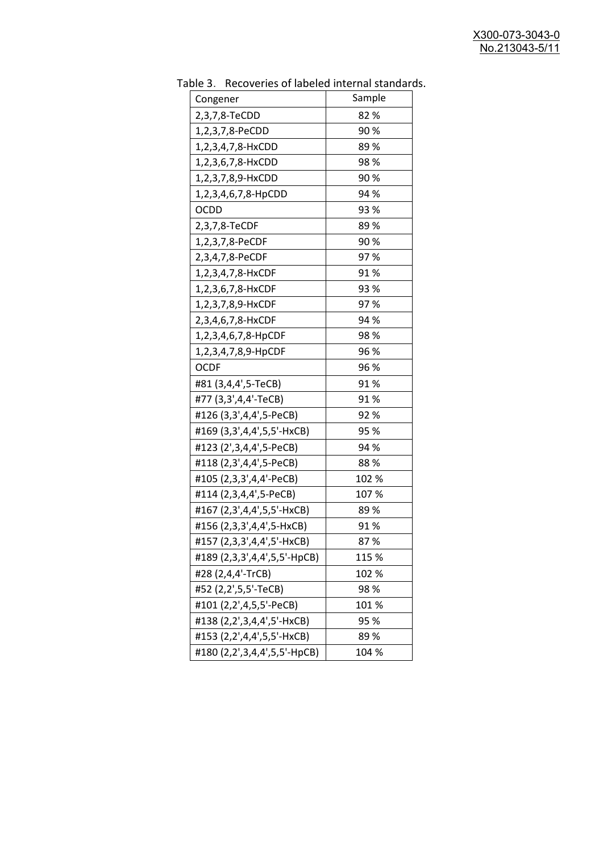| uwic J.<br><u>RECOVERTS OF RESERVED INTERNATION STATIONS</u> |        |
|--------------------------------------------------------------|--------|
| Congener                                                     | Sample |
| 2,3,7,8-TeCDD                                                | 82%    |
| 1,2,3,7,8-PeCDD                                              | 90%    |
| 1,2,3,4,7,8-HxCDD                                            | 89%    |
| 1,2,3,6,7,8-HxCDD                                            | 98%    |
| 1,2,3,7,8,9-HxCDD                                            | 90%    |
| 1,2,3,4,6,7,8-HpCDD                                          | 94 %   |
| <b>OCDD</b>                                                  | 93 %   |
| 2,3,7,8-TeCDF                                                | 89%    |
| 1,2,3,7,8-PeCDF                                              | 90%    |
| 2,3,4,7,8-PeCDF                                              | 97%    |
| 1,2,3,4,7,8-HxCDF                                            | 91%    |
| 1,2,3,6,7,8-HxCDF                                            | 93 %   |
| 1,2,3,7,8,9-HxCDF                                            | 97%    |
| 2,3,4,6,7,8-HxCDF                                            | 94 %   |
| 1,2,3,4,6,7,8-HpCDF                                          | 98%    |
| 1,2,3,4,7,8,9-HpCDF                                          | 96 %   |
| <b>OCDF</b>                                                  | 96 %   |
| #81 (3,4,4',5-TeCB)                                          | 91%    |
| #77 (3,3',4,4'-TeCB)                                         | 91%    |
| #126 (3,3',4,4',5-PeCB)                                      | 92 %   |
| #169 (3,3',4,4',5,5'-HxCB)                                   | 95 %   |
| #123 (2',3,4,4',5-PeCB)                                      | 94 %   |
| #118 (2,3',4,4',5-PeCB)                                      | 88%    |
| #105 (2,3,3',4,4'-PeCB)                                      | 102 %  |
| #114 (2,3,4,4',5-PeCB)                                       | 107 %  |
| #167 (2,3',4,4',5,5'-HxCB)                                   | 89%    |
| #156 (2,3,3',4,4',5-HxCB)                                    | 91%    |
| #157 (2,3,3',4,4',5'-HxCB)                                   | 87%    |
| #189 (2,3,3',4,4',5,5'-HpCB)                                 | 115 %  |
| #28 (2,4,4'-TrCB)                                            | 102 %  |
| #52 (2,2',5,5'-TeCB)                                         | 98%    |
| #101 (2,2',4,5,5'-PeCB)                                      | 101%   |
| #138 (2,2',3,4,4',5'-HxCB)                                   | 95 %   |
| #153 (2,2',4,4',5,5'-HxCB)                                   | 89%    |
| #180 (2,2',3,4,4',5,5'-HpCB)                                 | 104 %  |

Table 3. Recoveries of labeled internal standards.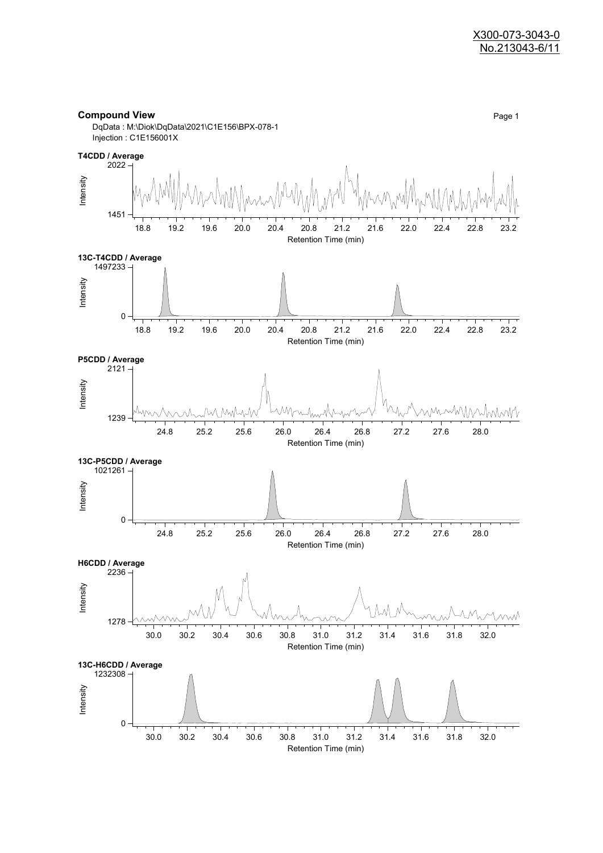#### **Compound View** Page 1

DqData : M:\Diok\DqData\2021\C1E156\BPX-078-1 Injection : C1E156001X

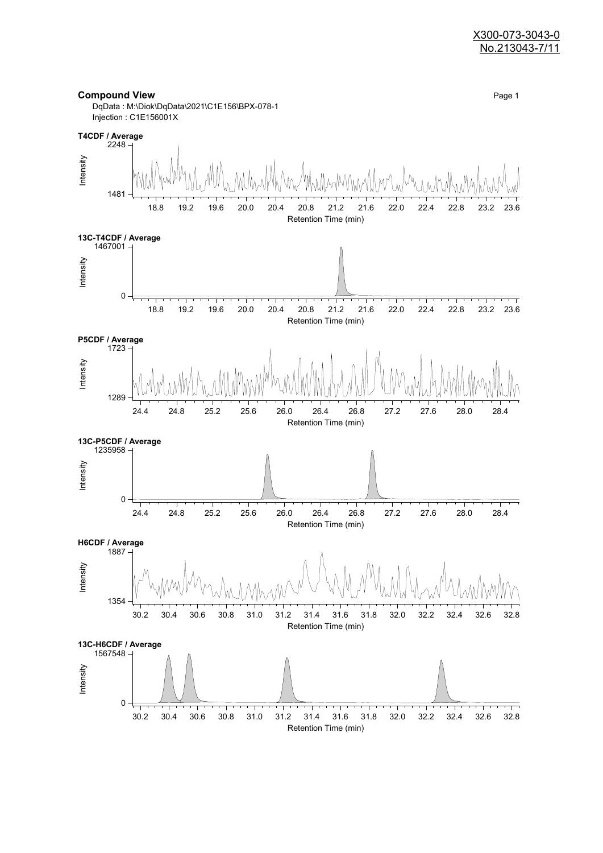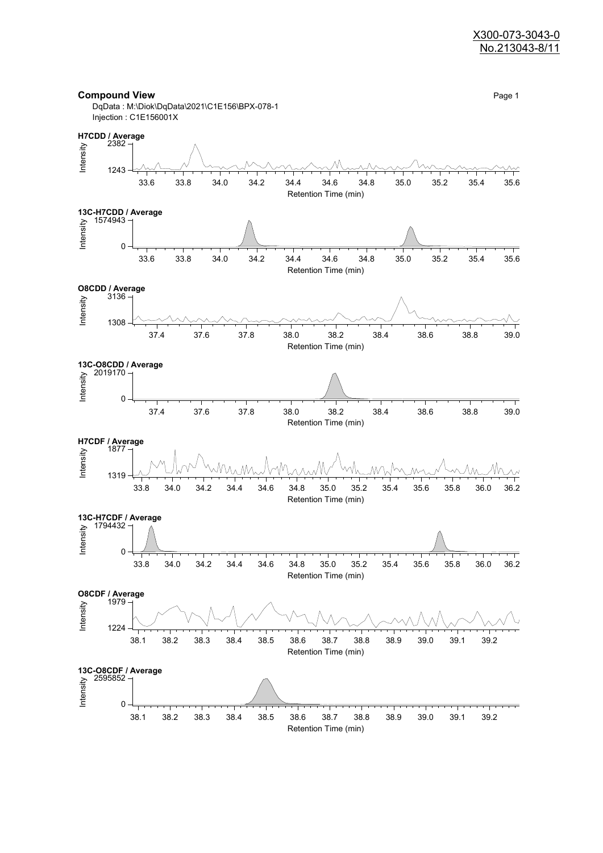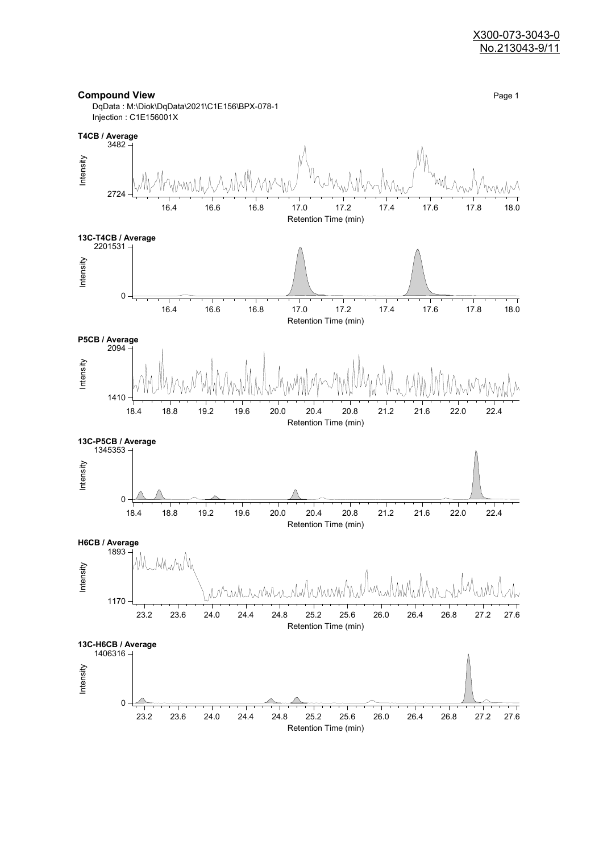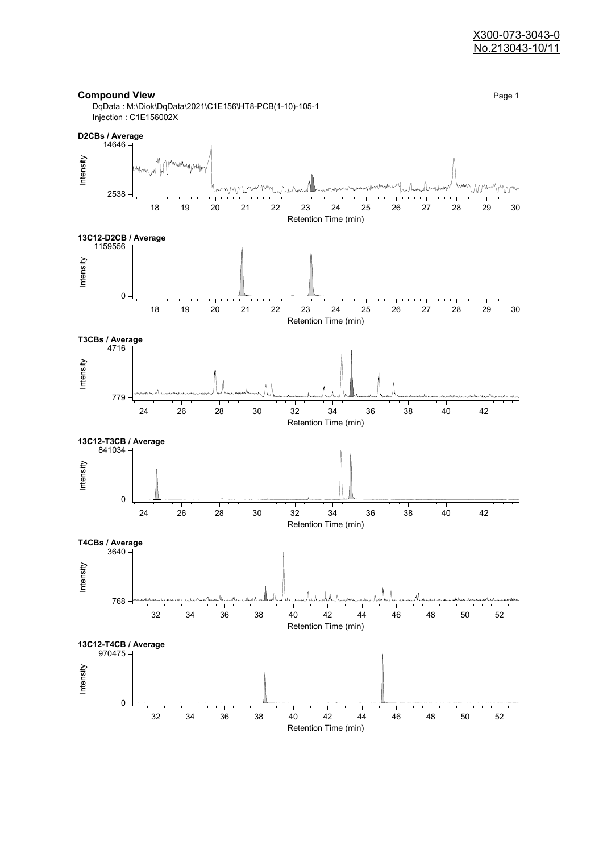